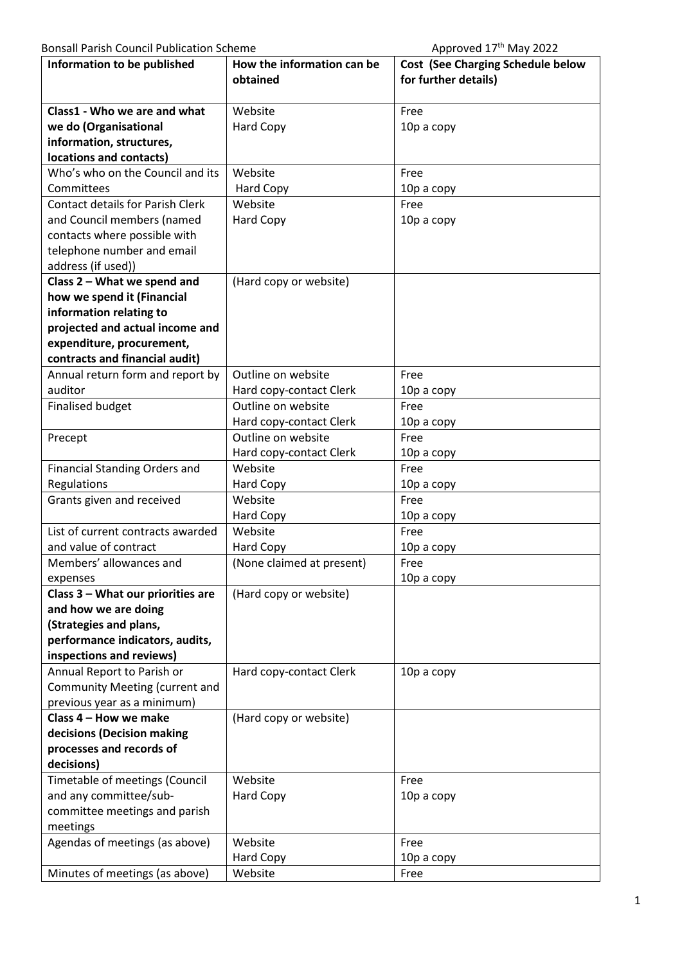| DONISAN T ANSIL COUNCILL ADHCACION SCHCHIC |                            | ADDIOVED 17 IVIOV ZUZZ                   |
|--------------------------------------------|----------------------------|------------------------------------------|
| Information to be published                | How the information can be | <b>Cost (See Charging Schedule below</b> |
|                                            | obtained                   | for further details)                     |
| Class1 - Who we are and what               | Website                    | Free                                     |
| we do (Organisational                      | Hard Copy                  | 10p a copy                               |
| information, structures,                   |                            |                                          |
| locations and contacts)                    |                            |                                          |
| Who's who on the Council and its           | Website                    | Free                                     |
| Committees                                 | Hard Copy                  | 10p a copy                               |
| <b>Contact details for Parish Clerk</b>    | Website                    | Free                                     |
| and Council members (named                 | Hard Copy                  | 10p a copy                               |
| contacts where possible with               |                            |                                          |
| telephone number and email                 |                            |                                          |
| address (if used))                         |                            |                                          |
| Class 2 - What we spend and                | (Hard copy or website)     |                                          |
| how we spend it (Financial                 |                            |                                          |
| information relating to                    |                            |                                          |
| projected and actual income and            |                            |                                          |
| expenditure, procurement,                  |                            |                                          |
| contracts and financial audit)             |                            |                                          |
| Annual return form and report by           | Outline on website         | Free                                     |
| auditor                                    | Hard copy-contact Clerk    | 10p a copy                               |
| <b>Finalised budget</b>                    | Outline on website         | Free                                     |
|                                            | Hard copy-contact Clerk    | 10p a copy                               |
| Precept                                    | Outline on website         | Free                                     |
|                                            | Hard copy-contact Clerk    | 10p a copy                               |
| <b>Financial Standing Orders and</b>       | Website                    | Free                                     |
| Regulations                                | Hard Copy                  | 10p a copy                               |
| Grants given and received                  | Website                    | Free                                     |
|                                            | Hard Copy                  | 10p a copy                               |
| List of current contracts awarded          | Website                    | Free                                     |
| and value of contract                      | <b>Hard Copy</b>           | 10p a copy                               |
| Members' allowances and                    | (None claimed at present)  | Free                                     |
| expenses                                   |                            | 10p a copy                               |
| Class 3 - What our priorities are          | (Hard copy or website)     |                                          |
| and how we are doing                       |                            |                                          |
| (Strategies and plans,                     |                            |                                          |
| performance indicators, audits,            |                            |                                          |
| inspections and reviews)                   |                            |                                          |
| Annual Report to Parish or                 | Hard copy-contact Clerk    | 10p a copy                               |
| Community Meeting (current and             |                            |                                          |
| previous year as a minimum)                |                            |                                          |
| Class 4 - How we make                      | (Hard copy or website)     |                                          |
| decisions (Decision making                 |                            |                                          |
| processes and records of<br>decisions)     |                            |                                          |
| Timetable of meetings (Council             | Website                    | Free                                     |
| and any committee/sub-                     | Hard Copy                  | 10p a copy                               |
| committee meetings and parish              |                            |                                          |
| meetings                                   |                            |                                          |
| Agendas of meetings (as above)             | Website                    | Free                                     |
|                                            | Hard Copy                  | 10p a copy                               |
| Minutes of meetings (as above)             | Website                    | Free                                     |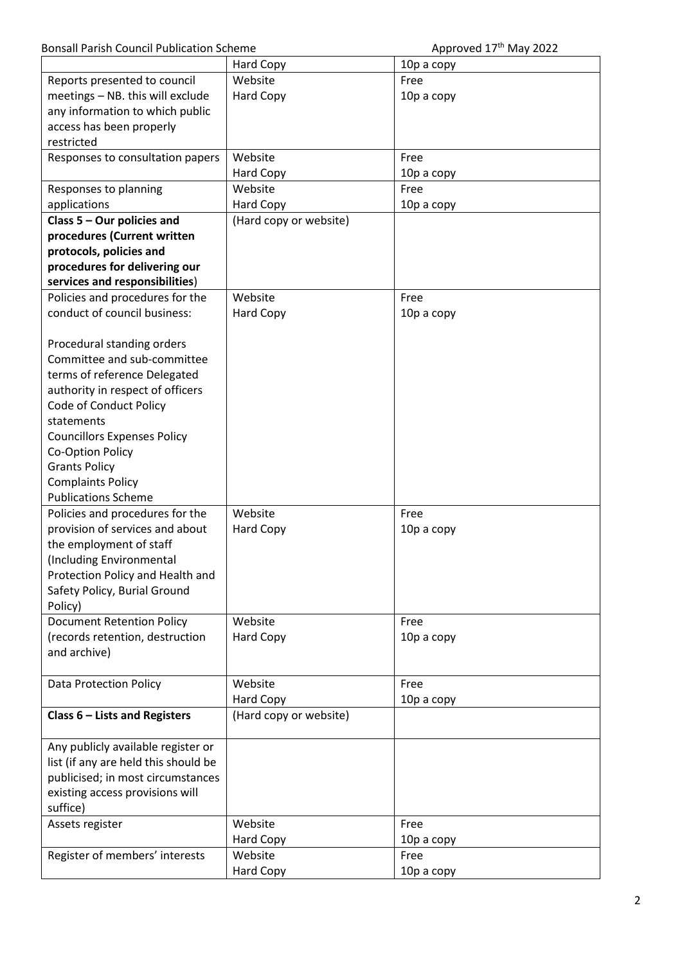|                                      |                        | $\mu$      |
|--------------------------------------|------------------------|------------|
|                                      | Hard Copy              | 10p a copy |
| Reports presented to council         | Website                | Free       |
| meetings - NB. this will exclude     | <b>Hard Copy</b>       | 10p a copy |
| any information to which public      |                        |            |
| access has been properly             |                        |            |
| restricted                           |                        |            |
| Responses to consultation papers     | Website                | Free       |
|                                      | Hard Copy              | 10p a copy |
| Responses to planning                | Website                | Free       |
| applications                         | <b>Hard Copy</b>       | 10p a copy |
| Class $5 -$ Our policies and         | (Hard copy or website) |            |
| procedures (Current written          |                        |            |
| protocols, policies and              |                        |            |
| procedures for delivering our        |                        |            |
| services and responsibilities)       |                        |            |
| Policies and procedures for the      | Website                | Free       |
| conduct of council business:         | Hard Copy              | 10p a copy |
|                                      |                        |            |
| Procedural standing orders           |                        |            |
| Committee and sub-committee          |                        |            |
| terms of reference Delegated         |                        |            |
| authority in respect of officers     |                        |            |
| Code of Conduct Policy               |                        |            |
| statements                           |                        |            |
| <b>Councillors Expenses Policy</b>   |                        |            |
| Co-Option Policy                     |                        |            |
| <b>Grants Policy</b>                 |                        |            |
| <b>Complaints Policy</b>             |                        |            |
| <b>Publications Scheme</b>           |                        |            |
| Policies and procedures for the      | Website                | Free       |
| provision of services and about      | Hard Copy              | 10p a copy |
| the employment of staff              |                        |            |
| (Including Environmental             |                        |            |
| Protection Policy and Health and     |                        |            |
| Safety Policy, Burial Ground         |                        |            |
| Policy)                              |                        |            |
| <b>Document Retention Policy</b>     | Website                | Free       |
| (records retention, destruction      | Hard Copy              | 10p a copy |
| and archive)                         |                        |            |
|                                      |                        |            |
| Data Protection Policy               | Website                | Free       |
|                                      | Hard Copy              | 10p a copy |
| Class 6 - Lists and Registers        | (Hard copy or website) |            |
|                                      |                        |            |
| Any publicly available register or   |                        |            |
| list (if any are held this should be |                        |            |
| publicised; in most circumstances    |                        |            |
| existing access provisions will      |                        |            |
| suffice)                             |                        |            |
| Assets register                      | Website                | Free       |
|                                      | Hard Copy              | 10p a copy |
| Register of members' interests       | Website                | Free       |
|                                      | Hard Copy              | 10p a copy |
|                                      |                        |            |